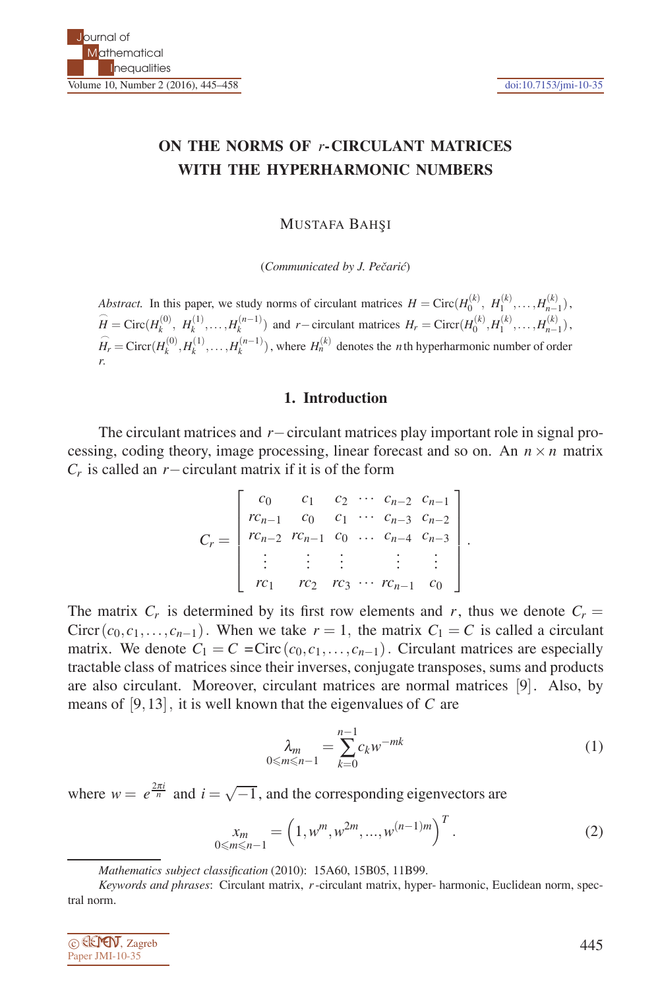# **ON THE NORMS OF** *r***-CIRCULANT MATRICES WITH THE HYPERHARMONIC NUMBERS**

**MUSTAFA BAHSI** 

(*Communicated by J. Pečarić*)

*Abstract.* In this paper, we study norms of circulant matrices  $H = \text{Circ}(H_0^{(k)}, H_1^{(k)}, \ldots, H_{n-1}^{(k)})$ ,  $\widehat{H}_0^{(k)}$ ,  $\widehat{H}_1^{(k)}$ ,  $\widehat{H}_2^{(k)}$ ,  $\widehat{H}_2^{(k)}$ ,  $\widehat{H}_2^{(k)}$ ,  $\widehat{H}_3^{(k)}$ ,  $\widehat{H}_4^{(k)}$ ,  $\widehat{H}_5^{(k)}$  $\widehat{H} = \text{Circ}(H_k^{(0)}, H_k^{(1)}, \dots, H_k^{(n-1)})$  and  $r-\text{circulant matrices } H_r = \text{Circ}(H_0^{(k)}, H_1^{(k)}, \dots, H_{n-1}^{(k)})$ .  $\widehat{H}_r = \text{Circ}(H_k^{(0)}, H_k^{(1)}, \dots, H_k^{(n-1)})$ , where  $H_n^{(k)}$  denotes the *n*th hyperharmonic number of order *r*.

## **1. Introduction**

The circulant matrices and *r*−circulant matrices play important role in signal processing, coding theory, image processing, linear forecast and so on. An  $n \times n$  matrix *Cr* is called an *r*−circulant matrix if it is of the form

$$
C_r = \begin{bmatrix} c_0 & c_1 & c_2 & \cdots & c_{n-2} & c_{n-1} \\ rc_{n-1} & c_0 & c_1 & \cdots & c_{n-3} & c_{n-2} \\ rc_{n-2} & rc_{n-1} & c_0 & \cdots & c_{n-4} & c_{n-3} \\ \vdots & \vdots & \vdots & \vdots & \vdots & \vdots \\ rc_1 & rc_2 & rc_3 & \cdots & rc_{n-1} & c_0 \end{bmatrix}.
$$

The matrix  $C_r$  is determined by its first row elements and r, thus we denote  $C_r =$ Circr( $c_0, c_1, \ldots, c_{n-1}$ ). When we take  $r = 1$ , the matrix  $C_1 = C$  is called a circulant matrix. We denote  $C_1 = C = \text{Circ}(c_0, c_1, \ldots, c_{n-1})$ . Circulant matrices are especially tractable class of matrices since their inverses, conjugate transposes, sums and products are also circulant. Moreover, circulant matrices are normal matrices [9]. Also, by means of [9,13], it is well known that the eigenvalues of *C* are

$$
\lambda_m = \sum_{k=0}^{n-1} c_k w^{-mk} \tag{1}
$$

 $T$ 

where  $w = e^{\frac{2\pi i}{n}}$  and  $i = \sqrt{-1}$ , and the corresponding eigenvectors are

$$
\chi_m = \left(1, w^m, w^{2m}, \dots, w^{(n-1)m}\right)^T.
$$
\n(2)

*Keywords and phrases*: Circulant matrix, *r*-circulant matrix, hyper- harmonic, Euclidean norm, spectral norm.



*Mathematics subject classification* (2010): 15A60, 15B05, 11B99.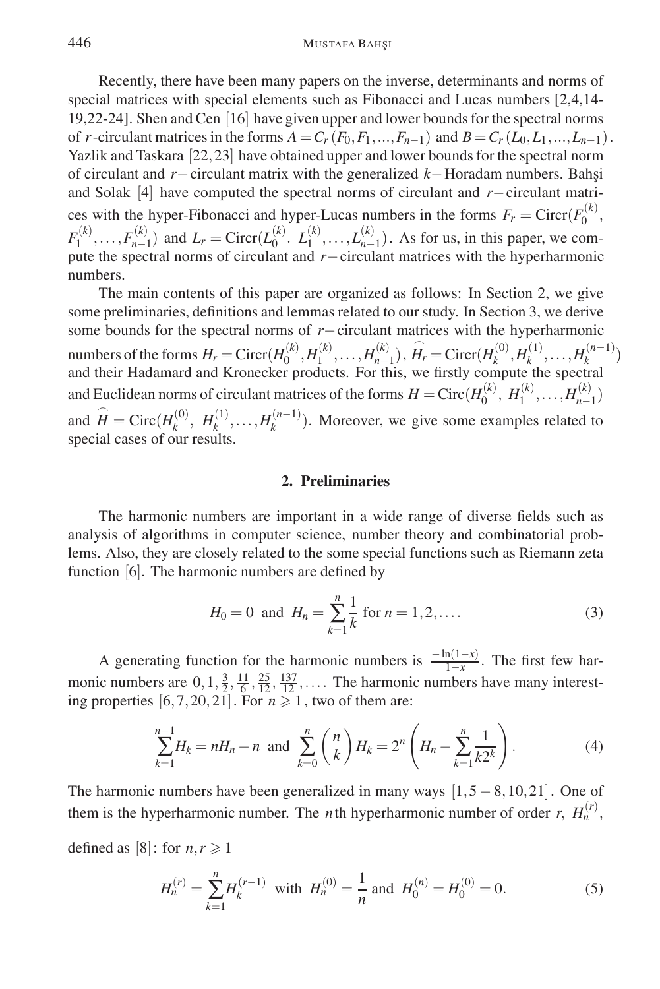Recently, there have been many papers on the inverse, determinants and norms of special matrices with special elements such as Fibonacci and Lucas numbers [2,4,14- 19,22-24]. Shen and Cen [16] have given upper and lower bounds for the spectral norms of *r*-circulant matrices in the forms  $A = C_r(F_0, F_1, ..., F_{n-1})$  and  $B = C_r(L_0, L_1, ..., L_{n-1})$ . Yazlik and Taskara [22,23] have obtained upper and lower bounds for the spectral norm of circulant and *r*−circulant matrix with the generalized *k*−Horadam numbers. Bahsi and Solak [4] have computed the spectral norms of circulant and *r*−circulant matrices with the hyper-Fibonacci and hyper-Lucas numbers in the forms  $F_r = \text{Circ}(F_0^{(k)}),$  $F_1^{(k)}, \ldots, F_{n-1}^{(k)}$  and  $L_r = \text{Circr}(L_0^{(k)}, L_1^{(k)}, \ldots, L_{n-1}^{(k)})$ . As for us, in this paper, we compute the spectral norms of circulant and *r*−circulant matrices with the hyperharmonic numbers.

The main contents of this paper are organized as follows: In Section 2, we give some preliminaries, definitions and lemmas related to our study. In Section 3, we derive some bounds for the spectral norms of *r*−circulant matrices with the hyperharmonic numbers of the forms  $H_r = \text{Circr}(H_0^{(k)}, H_1^{(k)}, \dots, H_{n-1}^{(k)})$ ,  $\widehat{H_r} = \text{Circr}(H_k^{(0)}, H_k^{(1)}, \dots, H_k^{(n-1)})$ and their Hadamard and Kronecker products. For this, we firstly compute the spectral and Euclidean norms of circulant matrices of the forms  $H = \text{Circ}(H_0^{(k)}, H_1^{(k)},..., H_{n-1}^{(k)})$ and  $\hat{H} = \text{Circ}(H_k^{(0)}, H_k^{(1)}, \dots, H_k^{(n-1)})$ . Moreover, we give some examples related to special cases of our results.

## **2. Preliminaries**

The harmonic numbers are important in a wide range of diverse fields such as analysis of algorithms in computer science, number theory and combinatorial problems. Also, they are closely related to the some special functions such as Riemann zeta function [6]. The harmonic numbers are defined by

$$
H_0 = 0 \text{ and } H_n = \sum_{k=1}^n \frac{1}{k} \text{ for } n = 1, 2, \dots
$$
 (3)

A generating function for the harmonic numbers is  $\frac{-\ln(1-x)}{1-x}$ . The first few harmonic numbers are  $0, 1, \frac{3}{2}, \frac{11}{6}, \frac{25}{12}, \frac{137}{12}, \dots$  The harmonic numbers have many interesting properties  $[6,7,20,21]$ . For  $n \ge 1$ , two of them are:

$$
\sum_{k=1}^{n-1} H_k = nH_n - n \text{ and } \sum_{k=0}^{n} \binom{n}{k} H_k = 2^n \left( H_n - \sum_{k=1}^{n} \frac{1}{k2^k} \right). \tag{4}
$$

The harmonic numbers have been generalized in many ways  $[1,5-8,10,21]$ . One of them is the hyperharmonic number. The *n*th hyperharmonic number of order *r*,  $H_n^{(r)}$ ,

defined as [8]: for  $n, r \geq 1$ 

$$
H_n^{(r)} = \sum_{k=1}^n H_k^{(r-1)} \text{ with } H_n^{(0)} = \frac{1}{n} \text{ and } H_0^{(n)} = H_0^{(0)} = 0. \tag{5}
$$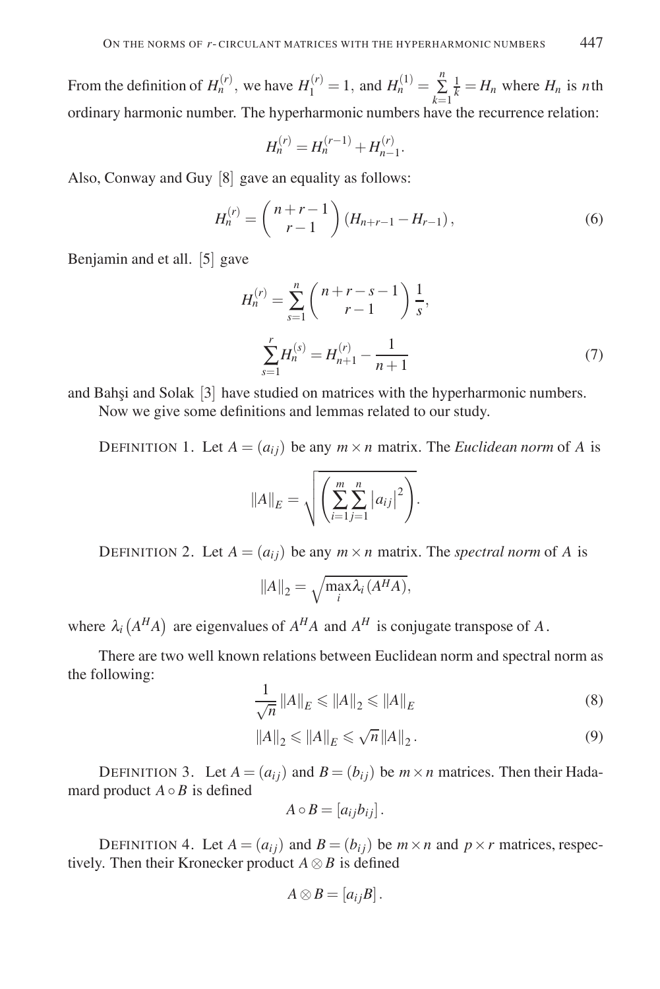From the definition of  $H_n^{(r)}$ , we have  $H_1^{(r)} = 1$ , and  $H_n^{(1)} = \sum_{k=1}^n$  $\frac{1}{k} = H_n$  where  $H_n$  is *n*th ordinary harmonic number. The hyperharmonic numbers have the recurrence relation:

$$
H_n^{(r)} = H_n^{(r-1)} + H_{n-1}^{(r)}.
$$

Also, Conway and Guy [8] gave an equality as follows:

$$
H_n^{(r)} = {n+r-1 \choose r-1} (H_{n+r-1} - H_{r-1}),
$$
\n(6)

Benjamin and et all. [5] gave

$$
H_n^{(r)} = \sum_{s=1}^n \binom{n+r-s-1}{r-1} \frac{1}{s},
$$
  

$$
\sum_{s=1}^r H_n^{(s)} = H_{n+1}^{(r)} - \frac{1}{n+1}
$$
 (7)

and Bahsi and Solak [3] have studied on matrices with the hyperharmonic numbers.

Now we give some definitions and lemmas related to our study.

DEFINITION 1. Let  $A = (a_{ij})$  be any  $m \times n$  matrix. The *Euclidean norm* of A is

$$
||A||_E = \sqrt{\left(\sum_{i=1}^m \sum_{j=1}^n |a_{ij}|^2\right)}.
$$

DEFINITION 2. Let  $A = (a_{ij})$  be any  $m \times n$  matrix. The *spectral norm* of A is

$$
||A||_2 = \sqrt{\max_i \lambda_i (A^H A)},
$$

where  $\lambda_i(A^H A)$  are eigenvalues of  $A^H A$  and  $A^H$  is conjugate transpose of A.

There are two well known relations between Euclidean norm and spectral norm as the following:

$$
\frac{1}{\sqrt{n}} \left\| A \right\|_{E} \leqslant \left\| A \right\|_{2} \leqslant \left\| A \right\|_{E} \tag{8}
$$

$$
||A||_2 \le ||A||_E \le \sqrt{n} ||A||_2.
$$
 (9)

DEFINITION 3. Let  $A = (a_{ij})$  and  $B = (b_{ij})$  be  $m \times n$  matrices. Then their Hadamard product  $A \circ B$  is defined

$$
A\circ B=[a_{ij}b_{ij}].
$$

DEFINITION 4. Let  $A = (a_{ij})$  and  $B = (b_{ij})$  be  $m \times n$  and  $p \times r$  matrices, respectively. Then their Kronecker product  $A \otimes B$  is defined

$$
A\otimes B=[a_{ij}B].
$$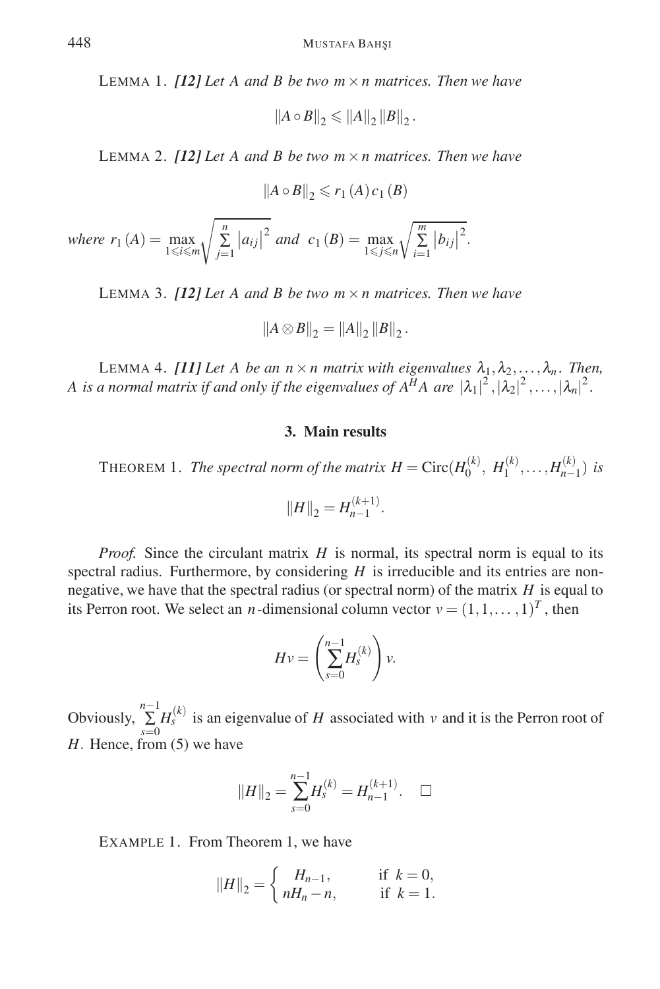LEMMA 1. *[12] Let A and B be two m*×*n matrices. Then we have*

$$
||A \circ B||_2 \le ||A||_2 ||B||_2.
$$

LEMMA 2. *[12] Let A and B be two m*×*n matrices. Then we have*

$$
||A \circ B||_2 \leqslant r_1(A) c_1(B)
$$

 $where r_1(A) = \max_{1 \leq i \leq m}$  *n* ∑ *j*=1  $|a_{ij}|^2$  *and*  $c_1(B) = \max_{1 \le j \le n}$  $\sqrt{\sum_{i=1}^{m}}$  $\left|b_{ij}\right|$ 2 .

LEMMA 3. *[12] Let A and B be two m*×*n matrices. Then we have*

$$
||A \otimes B||_2 = ||A||_2 ||B||_2.
$$

LEMMA 4. *[11] Let A be an n* × *n matrix with eigenvalues*  $\lambda_1, \lambda_2, \ldots, \lambda_n$ *. Then, A* is a normal matrix if and only if the eigenvalues of  $A^H A$  are  $|\lambda_1|^2$ ,  $|\lambda_2|^2$ ,  $\ldots$ ,  $|\lambda_n|^2$ .

## **3. Main results**

THEOREM 1. *The spectral norm of the matrix H* = Circ $(H_0^{(k)}, H_1^{(k)},..., H_{n-1}^{(k)})$  *is* 

$$
||H||_2 = H_{n-1}^{(k+1)}.
$$

*Proof.* Since the circulant matrix *H* is normal, its spectral norm is equal to its spectral radius. Furthermore, by considering *H* is irreducible and its entries are nonnegative, we have that the spectral radius (or spectral norm) of the matrix *H* is equal to its Perron root. We select an *n*-dimensional column vector  $v = (1, 1, \dots, 1)^T$ , then

$$
Hv = \left(\sum_{s=0}^{n-1} H_s^{(k)}\right)v.
$$

Obviously,  $\sum_{s=0}^{n-1} H_s^{(k)}$  is an eigenvalue of *H* associated with *v* and it is the Perron root of *H*. Hence, from (5) we have

$$
||H||_2 = \sum_{s=0}^{n-1} H_s^{(k)} = H_{n-1}^{(k+1)}.\quad \Box
$$

EXAMPLE 1. From Theorem 1, we have

$$
||H||_2 = \begin{cases} H_{n-1}, & \text{if } k = 0, \\ nH_n - n, & \text{if } k = 1. \end{cases}
$$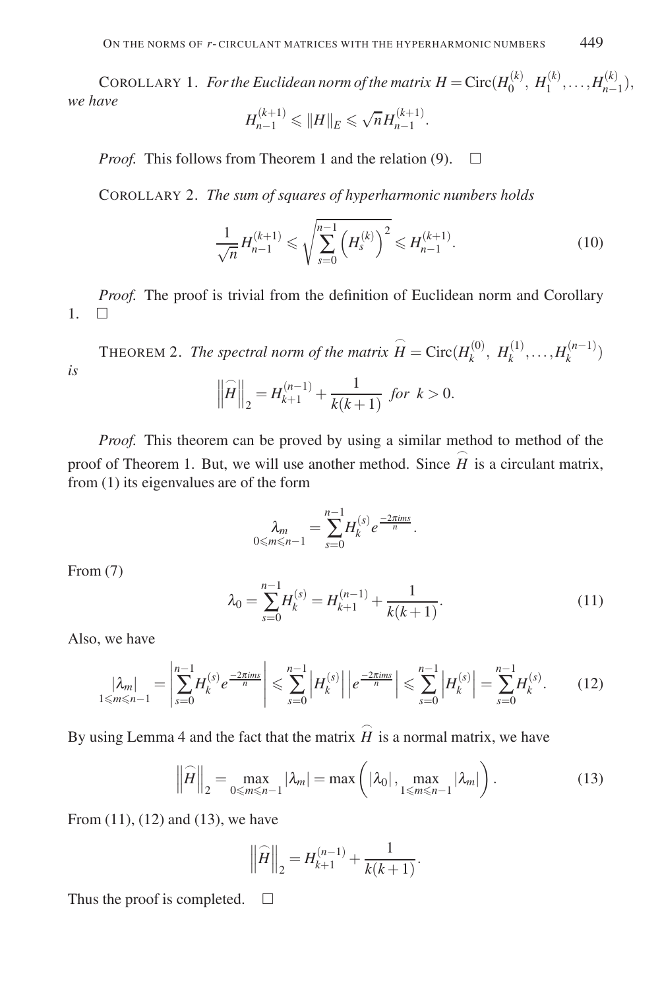COROLLARY 1. *For the Euclidean norm of the matrix*  $H = \text{Circ}(H_0^{(k)}, H_1^{(k)}, \ldots, H_{n-1}^{(k)})$ *, we have*

$$
H_{n-1}^{(k+1)} \leqslant ||H||_E \leqslant \sqrt{n} H_{n-1}^{(k+1)}.
$$

*Proof.* This follows from Theorem 1 and the relation (9).  $\Box$ 

COROLLARY 2. *The sum of squares of hyperharmonic numbers holds*

$$
\frac{1}{\sqrt{n}} H_{n-1}^{(k+1)} \leqslant \sqrt{\sum_{s=0}^{n-1} \left( H_s^{(k)} \right)^2} \leqslant H_{n-1}^{(k+1)}.
$$
\n(10)

*Proof.* The proof is trivial from the definition of Euclidean norm and Corollary  $1 \square$ 

THEOREM 2. *The spectral norm of the matrix*  $\widehat{H} = \text{Circ}(H_k^{(0)}, H_k^{(1)}, \ldots, H_k^{(n-1)})$ *is*  $\frac{1}{2}$  $\left. \widehat{H} \right\|_2 = H_{k+1}^{(n-1)} + \frac{1}{k(k+1)}$  *for*  $k > 0$ .

*Proof.* This theorem can be proved by using a similar method to method of the proof of Theorem 1. But, we will use another method. Since  $\hat{H}$  is a circulant matrix, from (1) its eigenvalues are of the form

$$
\lambda_m = \sum_{s=0}^{n-1} H_k^{(s)} e^{\frac{-2\pi ims}{n}}.
$$

From (7)

$$
\lambda_0 = \sum_{s=0}^{n-1} H_k^{(s)} = H_{k+1}^{(n-1)} + \frac{1}{k(k+1)}.
$$
\n(11)

Also, we have

$$
\left|\lambda_m\right|_{1\leq m\leq n-1} = \left|\sum_{s=0}^{n-1} H_k^{(s)} e^{\frac{-2\pi ims}{n}}\right| \leq \sum_{s=0}^{n-1} \left|H_k^{(s)}\right| \left|e^{\frac{-2\pi ims}{n}}\right| \leq \sum_{s=0}^{n-1} \left|H_k^{(s)}\right| = \sum_{s=0}^{n-1} H_k^{(s)}.\tag{12}
$$

By using Lemma 4 and the fact that the matrix  $\hat{H}$  is a normal matrix, we have

$$
\left\|\widehat{H}\right\|_2 = \max_{0 \le m \le n-1} |\lambda_m| = \max\left(|\lambda_0|, \max_{1 \le m \le n-1} |\lambda_m|\right).
$$
 (13)

From (11), (12) and (13), we have

$$
\left\|\widehat{H}\right\|_{2} = H_{k+1}^{(n-1)} + \frac{1}{k(k+1)}.
$$

Thus the proof is completed.  $\square$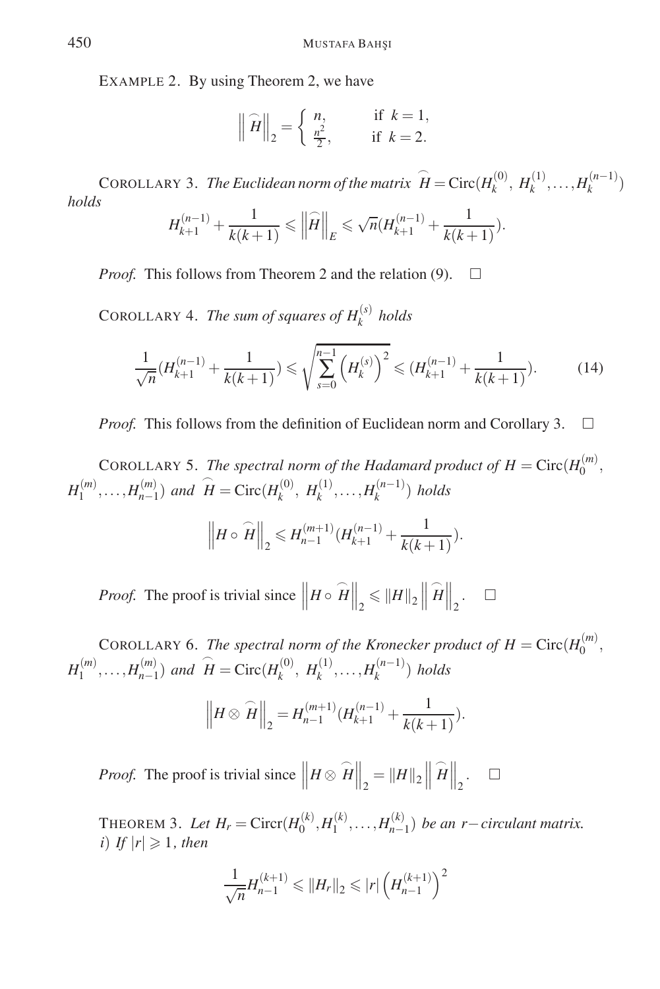EXAMPLE 2. By using Theorem 2, we have

$$
\left\|\widehat{H}\right\|_2 = \begin{cases} n, & \text{if } k = 1, \\ \frac{n^2}{2}, & \text{if } k = 2. \end{cases}
$$

COROLLARY 3. *The Euclidean norm of the matrix*  $\hat{H} = \text{Circ}(H_k^{(0)}, H_k^{(1)}, \dots, H_k^{(n-1)})$ *holds*

$$
H_{k+1}^{(n-1)} + \frac{1}{k(k+1)} \leq \left\| \widehat{H} \right\|_{E} \leq \sqrt{n} \left( H_{k+1}^{(n-1)} + \frac{1}{k(k+1)} \right).
$$

*Proof.* This follows from Theorem 2 and the relation (9).  $\Box$ 

COROLLARY 4. *The sum of squares of*  $H_k^{(s)}$  *holds* 

$$
\frac{1}{\sqrt{n}}(H_{k+1}^{(n-1)} + \frac{1}{k(k+1)}) \leq \sqrt{\sum_{s=0}^{n-1} (H_k^{(s)})^2} \leq (H_{k+1}^{(n-1)} + \frac{1}{k(k+1)}). \tag{14}
$$

*Proof.* This follows from the definition of Euclidean norm and Corollary 3.  $\Box$ 

COROLLARY 5. *The spectral norm of the Hadamard product of*  $H = \text{Circ}(H_0^{(m)},$  $H_1^{(m)}, \ldots, H_{n-1}^{(m)}$  *and*  $\widehat{H} = \text{Circ}(H_k^{(0)}, H_k^{(1)}, \ldots, H_k^{(n-1)})$  *holds* 

$$
\left\| H \circ \widehat{H} \right\|_2 \leqslant H_{n-1}^{(m+1)}(H_{k+1}^{(n-1)} + \frac{1}{k(k+1)}).
$$

*Proof.* The proof is trivial since  $\left\| H \circ \widehat{H} \right\|_2 \leq \|H\|_2 \left\|$  $\widehat{H}\Big\|_2.$   $\Box$ 

COROLLARY 6. *The spectral norm of the Kronecker product of*  $H = \text{Circ}(H_0^{(m)},$  $H_1^{(m)}, \ldots, H_{n-1}^{(m)}$  *and*  $\widehat{H} = \text{Circ}(H_k^{(0)}, H_k^{(1)}, \ldots, H_k^{(n-1)})$  *holds* 

$$
\left\|H \otimes \widehat{H}\right\|_2 = H_{n-1}^{(m+1)}(H_{k+1}^{(n-1)} + \frac{1}{k(k+1)}).
$$

*Proof.* The proof is trivial since  $\left\| H \otimes \widehat{H} \right\|_2 = \|H\|_2 \left\| H \right\|_2$  $\widehat{H}\Big\|_2.$   $\Box$ 

THEOREM 3. *Let*  $H_r$  = Circr( $H_0^{(k)}, H_1^{(k)},..., H_{n-1}^{(k)}$ ) *be an r*−*circulant matrix. i*) *If*  $|r| \ge 1$ *, then* 

$$
\frac{1}{\sqrt{n}}H_{n-1}^{(k+1)} \leq ||H_r||_2 \leq |r| \left(H_{n-1}^{(k+1)}\right)^2
$$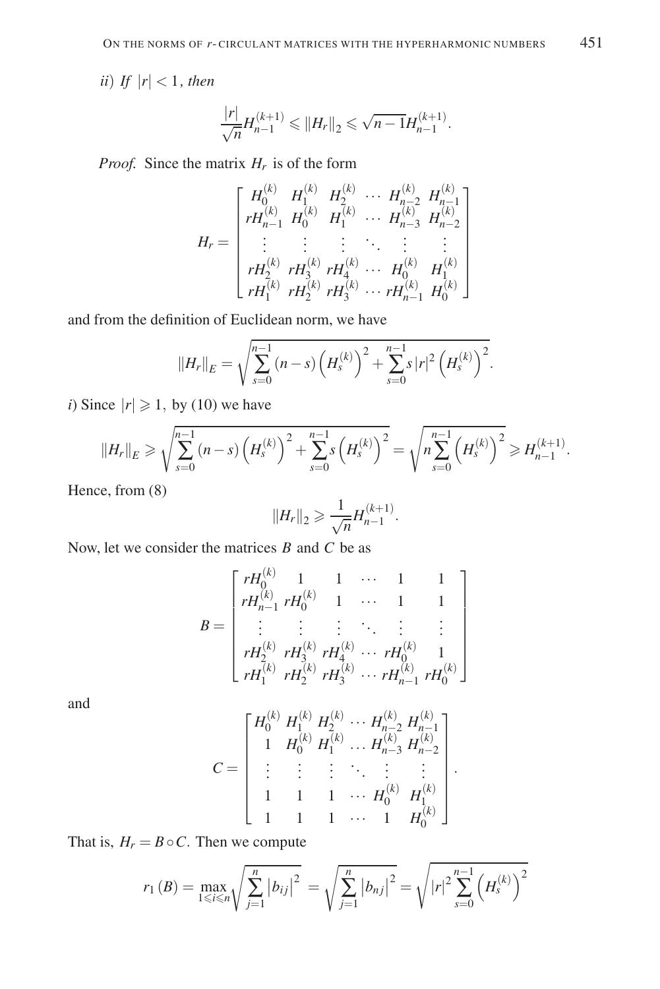*ii*) *If*  $|r| < 1$ *, then* 

$$
\frac{|r|}{\sqrt{n}}H_{n-1}^{(k+1)}\leqslant \|H_r\|_2\leqslant \sqrt{n-1}H_{n-1}^{(k+1)}.
$$

*Proof.* Since the matrix  $H_r$  is of the form

$$
H_r = \begin{bmatrix} H_0^{(k)} & H_1^{(k)} & H_2^{(k)} & \cdots & H_{n-2}^{(k)} & H_{n-1}^{(k)} \\ rH_{n-1}^{(k)} & H_0^{(k)} & H_1^{(k)} & \cdots & H_{n-3}^{(k)} & H_{n-2}^{(k)} \\ \vdots & \vdots & \vdots & \ddots & \vdots & \vdots \\ rH_2^{(k)} & rH_3^{(k)} & rH_4^{(k)} & \cdots & H_0^{(k)} & H_1^{(k)} \\ rH_1^{(k)} & rH_2^{(k)} & rH_3^{(k)} & \cdots & rH_{n-1}^{(k)} & H_0^{(k)} \end{bmatrix}
$$

and from the definition of Euclidean norm, we have

$$
||H_r||_E = \sqrt{\sum_{s=0}^{n-1} (n-s) \left(H_s^{(k)}\right)^2 + \sum_{s=0}^{n-1} s |r|^2 \left(H_s^{(k)}\right)^2}.
$$

*i*) Since  $|r| \ge 1$ , by (10) we have

$$
||H_r||_E \ge \sqrt{\sum_{s=0}^{n-1} (n-s) \left(H_s^{(k)}\right)^2 + \sum_{s=0}^{n-1} s \left(H_s^{(k)}\right)^2} = \sqrt{n \sum_{s=0}^{n-1} \left(H_s^{(k)}\right)^2} \ge H_{n-1}^{(k+1)}.
$$

Hence, from (8)

$$
||H_r||_2 \geq \frac{1}{\sqrt{n}} H_{n-1}^{(k+1)}.
$$

Now, let we consider the matrices *B* and *C* be as

$$
B = \begin{bmatrix} rH_0^{(k)} & 1 & 1 & \cdots & 1 & 1 \\ rH_{n-1}^{(k)} & rH_0^{(k)} & 1 & \cdots & 1 & 1 \\ \vdots & \vdots & \vdots & \ddots & \vdots & \vdots \\ rH_2^{(k)} & rH_3^{(k)} & rH_4^{(k)} & \cdots & rH_0^{(k)} & 1 \\ rH_1^{(k)} & rH_2^{(k)} & rH_3^{(k)} & \cdots & rH_{n-1}^{(k)} & rH_0^{(k)} \end{bmatrix}
$$

and

$$
C = \left[ \begin{array}{cccc} H_0^{(k)} \; H_1^{(k)} \; H_2^{(k)} \; \cdots \; H_{n-2}^{(k)} \; H_{n-1}^{(k)} \\ 1 \; \; H_0^{(k)} \; H_1^{(k)} \; \ldots \; H_{n-3}^{(k)} \; H_{n-2}^{(k)} \\ \vdots \; \; \vdots \; \; \; \vdots \; \; \; \ddots \; \; \; \vdots \; \; \vdots \\ 1 \; \; \; 1 \; \; \; 1 \; \; \cdots \; H_0^{(k)} \; \; H_1^{(k)} \\ 1 \; \; \; 1 \; \; \; 1 \; \; \cdots \; \; 1 \; \; H_0^{(k)} \end{array} \right]
$$

.

That is,  $H_r = B \circ C$ . Then we compute

$$
r_1(B) = \max_{1 \le i \le n} \sqrt{\sum_{j=1}^n |b_{ij}|^2} = \sqrt{\sum_{j=1}^n |b_{nj}|^2} = \sqrt{|r|^2 \sum_{s=0}^{n-1} (H_s^{(k)})^2}
$$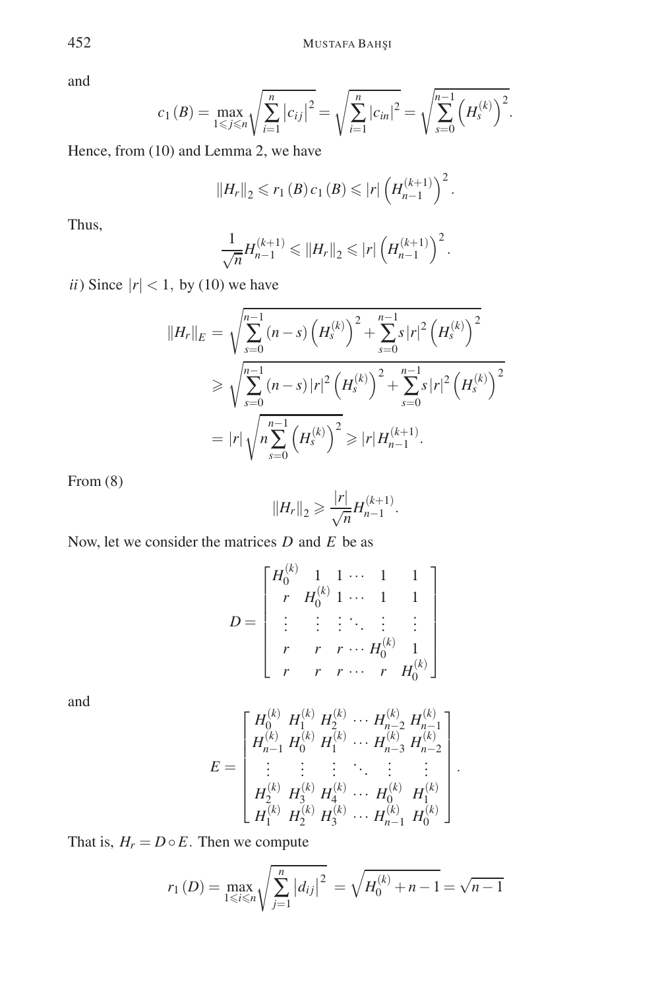and

$$
c_1(B) = \max_{1 \leq j \leq n} \sqrt{\sum_{i=1}^n |c_{ij}|^2} = \sqrt{\sum_{i=1}^n |c_{in}|^2} = \sqrt{\sum_{s=0}^{n-1} (H_s^{(k)})^2}.
$$

Hence, from (10) and Lemma 2, we have

$$
||H_r||_2 \leq r_1(B) c_1(B) \leq |r| \left( H_{n-1}^{(k+1)} \right)^2.
$$

Thus,

$$
\frac{1}{\sqrt{n}}H_{n-1}^{(k+1)} \leq ||H_r||_2 \leq |r| \left(H_{n-1}^{(k+1)}\right)^2.
$$

*ii*) Since  $|r| < 1$ , by (10) we have

$$
||H_r||_E = \sqrt{\sum_{s=0}^{n-1} (n-s) (H_s^{(k)})^2 + \sum_{s=0}^{n-1} s |r|^2 (H_s^{(k)})^2}
$$
  
\n
$$
\geq \sqrt{\sum_{s=0}^{n-1} (n-s) |r|^2 (H_s^{(k)})^2 + \sum_{s=0}^{n-1} s |r|^2 (H_s^{(k)})^2}
$$
  
\n
$$
= |r| \sqrt{n \sum_{s=0}^{n-1} (H_s^{(k)})^2} \geq |r| H_{n-1}^{(k+1)}.
$$

From (8)

$$
||H_r||_2 \geqslant \frac{|r|}{\sqrt{n}} H_{n-1}^{(k+1)}.
$$

Now, let we consider the matrices *D* and *E* be as

$$
D = \begin{bmatrix} H_0^{(k)} & 1 & 1 & \cdots & 1 & 1 \\ r & H_0^{(k)} & 1 & \cdots & 1 & 1 \\ \vdots & \vdots & \vdots & \ddots & \vdots & \vdots \\ r & r & r & \cdots & H_0^{(k)} & 1 \\ r & r & r & r & \cdots & r & H_0^{(k)} \end{bmatrix}
$$

and

$$
E = \begin{bmatrix} H_0^{(k)} & H_1^{(k)} & H_2^{(k)} & \cdots & H_{n-2}^{(k)} & H_{n-1}^{(k)} \\ H_{n-1}^{(k)} & H_0^{(k)} & H_1^{(k)} & \cdots & H_{n-3}^{(k)} & H_{n-2}^{(k)} \\ \vdots & \vdots & \vdots & \ddots & \vdots & \vdots \\ H_2^{(k)} & H_3^{(k)} & H_4^{(k)} & \cdots & H_0^{(k)} & H_1^{(k)} \\ H_1^{(k)} & H_2^{(k)} & H_3^{(k)} & \cdots & H_{n-1}^{(k)} & H_0^{(k)} \end{bmatrix}
$$

.

That is,  $H_r = D \circ E$ . Then we compute

$$
r_1(D) = \max_{1 \le i \le n} \sqrt{\sum_{j=1}^n |d_{ij}|^2} = \sqrt{H_0^{(k)} + n - 1} = \sqrt{n-1}
$$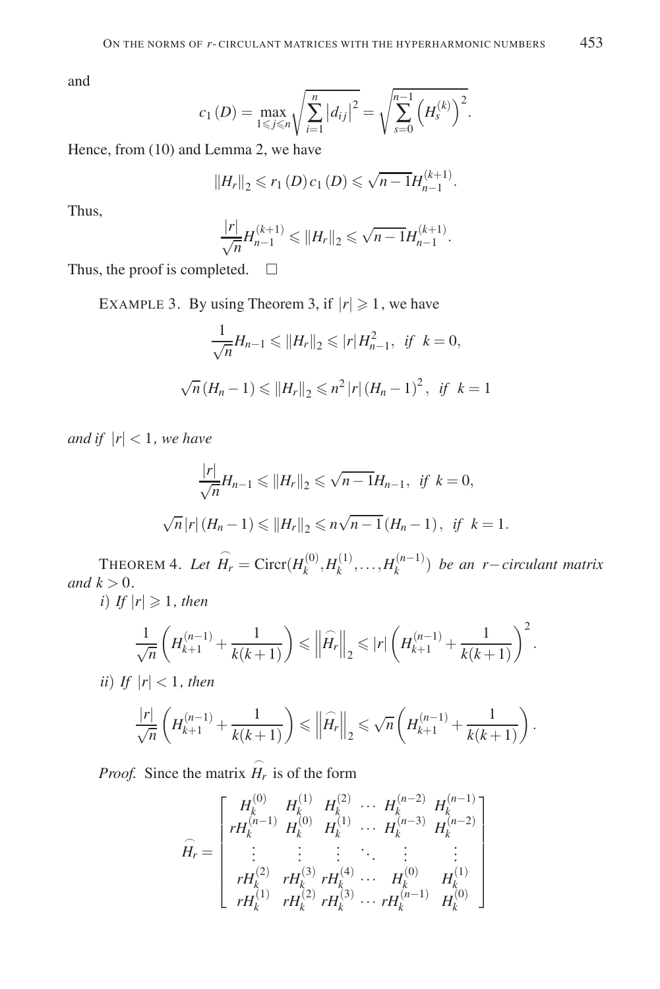and

$$
c_1(D) = \max_{1 \leq j \leq n} \sqrt{\sum_{i=1}^n |d_{ij}|^2} = \sqrt{\sum_{s=0}^{n-1} (H_s^{(k)})^2}.
$$

Hence, from (10) and Lemma 2, we have

$$
||H_r||_2 \leq r_1(D) c_1(D) \leq \sqrt{n-1} H_{n-1}^{(k+1)}.
$$

Thus,

$$
\frac{|r|}{\sqrt{n}}H_{n-1}^{(k+1)} \leq ||H_r||_2 \leq \sqrt{n-1}H_{n-1}^{(k+1)}.
$$

Thus, the proof is completed.  $\Box$ 

EXAMPLE 3. By using Theorem 3, if  $|r| \ge 1$ , we have

$$
\frac{1}{\sqrt{n}}H_{n-1} \leq ||H_r||_2 \leq |r|H_{n-1}^2, \text{ if } k = 0,
$$
  

$$
\sqrt{n}(H_n - 1) \leq ||H_r||_2 \leq n^2 |r| (H_n - 1)^2, \text{ if } k = 1
$$

*and if*  $|r| < 1$ *, we have* 

$$
\frac{|r|}{\sqrt{n}}H_{n-1} \leq ||H_r||_2 \leq \sqrt{n-1}H_{n-1}, \text{ if } k = 0,
$$
  

$$
\sqrt{n}|r|(H_n - 1) \leq ||H_r||_2 \leq n\sqrt{n-1}(H_n - 1), \text{ if } k = 1.
$$

THEOREM 4. Let  $\widehat{H}_r = \text{Circ}(H_k^{(0)}, H_k^{(1)}, \dots, H_k^{(n-1)})$  be an *r*−*circulant matrix and*  $k > 0$ *.* 

*i*) *If*  $|r| \ge 1$ *, then* 

$$
\frac{1}{\sqrt{n}}\left(H_{k+1}^{(n-1)} + \frac{1}{k(k+1)}\right) \leq \left\|\widehat{H_r}\right\|_2 \leqslant |r| \left(H_{k+1}^{(n-1)} + \frac{1}{k(k+1)}\right)^2.
$$

*ii*) *If*  $|r| < 1$ *, then* 

$$
\frac{|r|}{\sqrt{n}} \left( H_{k+1}^{(n-1)} + \frac{1}{k(k+1)} \right) \leq ||\widehat{H_r}||_2 \leq \sqrt{n} \left( H_{k+1}^{(n-1)} + \frac{1}{k(k+1)} \right).
$$

*Proof.* Since the matrix  $\hat{H}_r$  is of the form

$$
\widehat{H}_r = \begin{bmatrix}\nH_k^{(0)} & H_k^{(1)} & H_k^{(2)} & \cdots & H_k^{(n-2)} & H_k^{(n-1)} \\
rH_k^{(n-1)} & H_k^{(0)} & H_k^{(1)} & \cdots & H_k^{(n-3)} & H_k^{(n-2)} \\
\vdots & \vdots & \vdots & \ddots & \vdots & \vdots \\
rH_k^{(2)} & rH_k^{(3)} & rH_k^{(4)} & \cdots & H_k^{(0)} & H_k^{(1)} \\
rH_k^{(1)} & rH_k^{(2)} & rH_k^{(3)} & \cdots & rH_k^{(n-1)} & H_k^{(0)}\n\end{bmatrix}
$$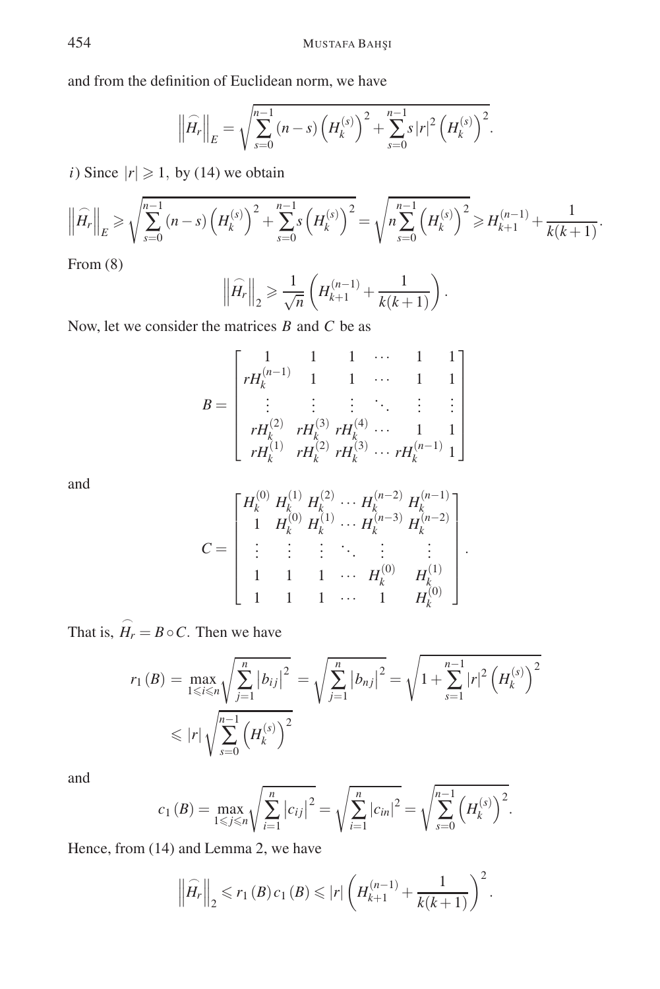and from the definition of Euclidean norm, we have

$$
\left\| \widehat{H}_r \right\|_E = \sqrt{\sum_{s=0}^{n-1} (n-s) \left( H_k^{(s)} \right)^2 + \sum_{s=0}^{n-1} s |r|^2 \left( H_k^{(s)} \right)^2}.
$$

*i*) Since  $|r| \ge 1$ , by (14) we obtain

$$
\left\| \widehat{H_r} \right\|_E \geq \sqrt{\sum_{s=0}^{n-1} (n-s) \left( H_k^{(s)} \right)^2 + \sum_{s=0}^{n-1} s \left( H_k^{(s)} \right)^2} = \sqrt{n \sum_{s=0}^{n-1} \left( H_k^{(s)} \right)^2} \geq H_{k+1}^{(n-1)} + \frac{1}{k(k+1)}.
$$

From (8)

$$
\left\|\widehat{H}_r\right\|_2 \ge \frac{1}{\sqrt{n}} \left(H_{k+1}^{(n-1)} + \frac{1}{k(k+1)}\right).
$$

Now, let we consider the matrices *B* and *C* be as

$$
B = \begin{bmatrix} 1 & 1 & 1 & \cdots & 1 & 1 \\ rH_k^{(n-1)} & 1 & 1 & \cdots & 1 & 1 \\ \vdots & \vdots & \vdots & \ddots & \vdots & \vdots \\ rH_k^{(2)} & rH_k^{(3)} & rH_k^{(4)} & \cdots & 1 & 1 \\ rH_k^{(1)} & rH_k^{(2)} & rH_k^{(3)} & \cdots & rH_k^{(n-1)} & 1 \end{bmatrix}
$$

and

$$
C = \begin{bmatrix} H_k^{(0)} & H_k^{(1)} & H_k^{(2)} & \cdots & H_k^{(n-2)} & H_k^{(n-1)} \\ 1 & H_k^{(0)} & H_k^{(1)} & \cdots & H_k^{(n-3)} & H_k^{(n-2)} \\ \vdots & \vdots & \vdots & \ddots & \vdots & \vdots \\ 1 & 1 & 1 & \cdots & H_k^{(0)} & H_k^{(1)} \\ 1 & 1 & 1 & \cdots & 1 & H_k^{(0)} \end{bmatrix}.
$$

That is,  $\widehat{H}_r = B \circ C$ . Then we have

$$
r_1(B) = \max_{1 \le i \le n} \sqrt{\sum_{j=1}^n |b_{ij}|^2} = \sqrt{\sum_{j=1}^n |b_{nj}|^2} = \sqrt{1 + \sum_{s=1}^{n-1} |r|^2 \left(H_k^{(s)}\right)^2}
$$
  
 
$$
\le |r| \sqrt{\sum_{s=0}^{n-1} \left(H_k^{(s)}\right)^2}
$$

and

$$
c_1(B) = \max_{1 \le j \le n} \sqrt{\sum_{i=1}^n |c_{ij}|^2} = \sqrt{\sum_{i=1}^n |c_{in}|^2} = \sqrt{\sum_{s=0}^{n-1} (H_k^{(s)})^2}.
$$

Hence, from (14) and Lemma 2, we have

$$
\left\|\widehat{H}_r\right\|_2 \leq r_1(B) c_1(B) \leq |r| \left(H_{k+1}^{(n-1)} + \frac{1}{k(k+1)}\right)^2.
$$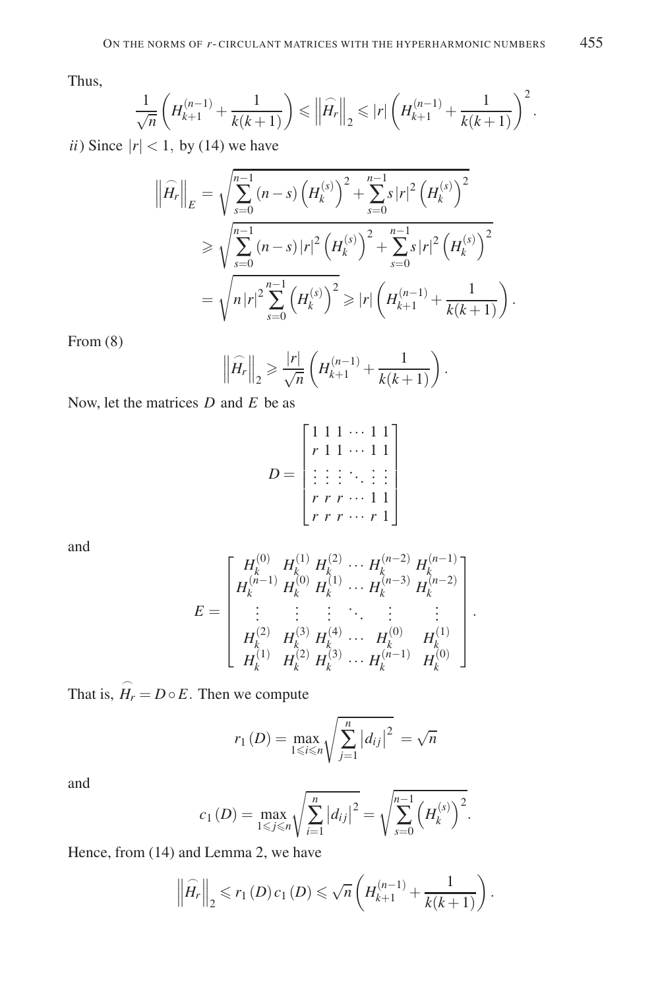Thus,

$$
\frac{1}{\sqrt{n}}\left(H_{k+1}^{(n-1)} + \frac{1}{k(k+1)}\right) \leq \left\|\widehat{H_r}\right\|_2 \leqslant |r|\left(H_{k+1}^{(n-1)} + \frac{1}{k(k+1)}\right)^2.
$$

*ii*) Since  $|r| < 1$ , by (14) we have

$$
\left\| \widehat{H_r} \right\|_E = \sqrt{\sum_{s=0}^{n-1} (n-s) \left( H_k^{(s)} \right)^2 + \sum_{s=0}^{n-1} s |r|^2 \left( H_k^{(s)} \right)^2}
$$
  
\n
$$
\geq \sqrt{\sum_{s=0}^{n-1} (n-s) |r|^2 \left( H_k^{(s)} \right)^2 + \sum_{s=0}^{n-1} s |r|^2 \left( H_k^{(s)} \right)^2}
$$
  
\n
$$
= \sqrt{n |r|^2 \sum_{s=0}^{n-1} \left( H_k^{(s)} \right)^2} \geq |r| \left( H_{k+1}^{(n-1)} + \frac{1}{k(k+1)} \right).
$$

From (8)

$$
\left\| \widehat{H}_r \right\|_2 \ge \frac{|r|}{\sqrt{n}} \left( H_{k+1}^{(n-1)} + \frac{1}{k(k+1)} \right).
$$

Now, let the matrices *D* and *E* be as

$$
D = \begin{bmatrix} 1 & 1 & \cdots & 1 & 1 \\ r & 1 & 1 & \cdots & 1 & 1 \\ \vdots & \vdots & \vdots & \ddots & \vdots \\ r & r & r & \cdots & 1 & 1 \\ r & r & r & \cdots & r & 1 \end{bmatrix}
$$

and

$$
E = \begin{bmatrix} H_k^{(0)} & H_k^{(1)} & H_k^{(2)} & \cdots & H_k^{(n-2)} & H_k^{(n-1)} \\ H_k^{(n-1)} & H_k^{(0)} & H_k^{(1)} & \cdots & H_k^{(n-3)} & H_k^{(n-2)} \\ \vdots & \vdots & \vdots & \ddots & \vdots & \vdots \\ H_k^{(2)} & H_k^{(3)} & H_k^{(4)} & \cdots & H_k^{(0)} & H_k^{(1)} \\ H_k^{(1)} & H_k^{(2)} & H_k^{(3)} & \cdots & H_k^{(n-1)} & H_k^{(0)} \end{bmatrix}.
$$

That is,  $\hat{H}_r = D \circ E$ . Then we compute

$$
r_1(D) = \max_{1 \le i \le n} \sqrt{\sum_{j=1}^n |d_{ij}|^2} = \sqrt{n}
$$

and

$$
c_1(D) = \max_{1 \leq j \leq n} \sqrt{\sum_{i=1}^n |d_{ij}|^2} = \sqrt{\sum_{s=0}^{n-1} (H_k^{(s)})^2}.
$$

Hence, from (14) and Lemma 2, we have

$$
\left\|\widehat{H}_r\right\|_2 \leq r_1(D) c_1(D) \leq \sqrt{n} \left(H_{k+1}^{(n-1)} + \frac{1}{k(k+1)}\right).
$$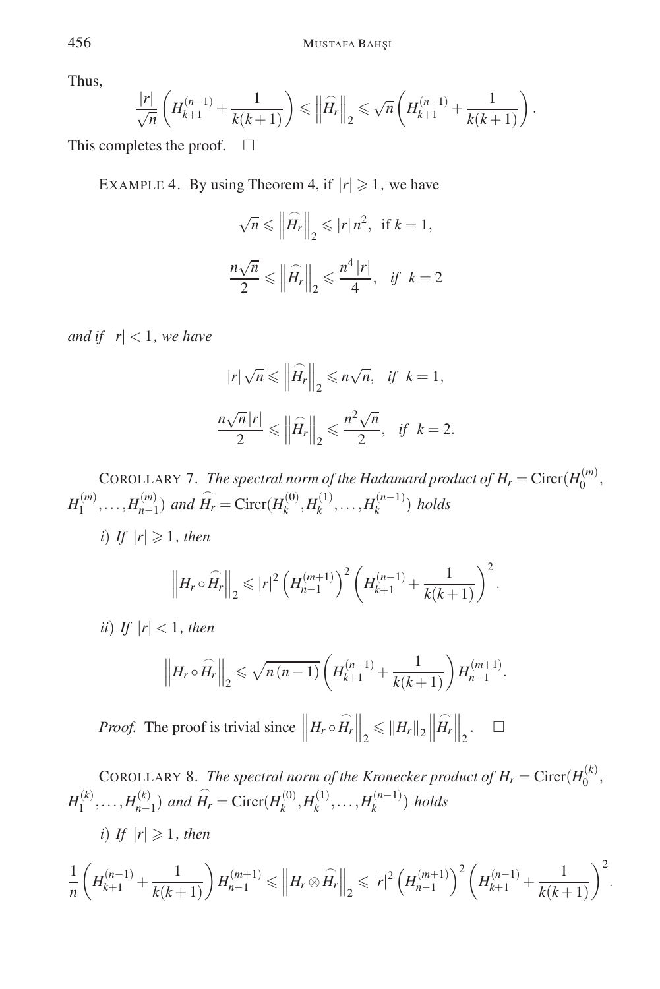Thus,

$$
\frac{|r|}{\sqrt{n}} \left( H_{k+1}^{(n-1)} + \frac{1}{k(k+1)} \right) \leq \left\| \widehat{H}_r \right\|_2 \leq \sqrt{n} \left( H_{k+1}^{(n-1)} + \frac{1}{k(k+1)} \right).
$$

This completes the proof.  $\Box$ 

EXAMPLE 4. By using Theorem 4, if  $|r| \ge 1$ , we have

$$
\sqrt{n} \le \left\| \widehat{H}_r \right\|_2 \le |r| \, n^2, \text{ if } k = 1,
$$
  

$$
\frac{n\sqrt{n}}{2} \le \left\| \widehat{H}_r \right\|_2 \le \frac{n^4 \, |r|}{4}, \text{ if } k = 2
$$

*and if*  $|r| < 1$ *, we have* 

$$
|r|\sqrt{n} \leq ||\widehat{H_r}||_2 \leq n\sqrt{n}, \text{ if } k = 1,
$$
  

$$
\frac{n\sqrt{n}|r|}{2} \leq ||\widehat{H_r}||_2 \leq \frac{n^2\sqrt{n}}{2}, \text{ if } k = 2.
$$

COROLLARY 7. *The spectral norm of the Hadamard product of*  $H_r = \text{Circr}(H_0^{(m)},$  $H_1^{(m)}, \ldots, H_{n-1}^{(m)}$  *and*  $\widehat{H}_r = \text{Circr}(H_k^{(0)}, H_k^{(1)}, \ldots, H_k^{(n-1)})$  *holds* 

*i*) *If*  $|r| \ge 1$ *, then* 

$$
\left\|H_r \circ \widehat{H}_r\right\|_2 \leqslant |r|^2 \left(H_{n-1}^{(m+1)}\right)^2 \left(H_{k+1}^{(n-1)} + \frac{1}{k(k+1)}\right)^2.
$$

*ii*) *If*  $|r| < 1$ *, then* 

$$
\left\|H_r \circ \widehat{H}_r\right\|_2 \leqslant \sqrt{n(n-1)} \left(H_{k+1}^{(n-1)} + \frac{1}{k(k+1)}\right) H_{n-1}^{(m+1)}.
$$

*Proof.* The proof is trivial since  $\left\| H_r \circ \widehat{H}_r \right\|_2 \leq \| H_r \|_2 \left\|$  $\widehat{H_r}\Big\|_2. \quad \square$ 

COROLLARY 8. *The spectral norm of the Kronecker product of*  $H_r = \text{Circr}(H_0^{(k)})$  $H_1^{(k)}, \ldots, H_{n-1}^{(k)}$  *and*  $\widehat{H}_r = \text{Circr}(H_k^{(0)}, H_k^{(1)}, \ldots, H_k^{(n-1)})$  *holds* 

*i)* If 
$$
|r| \geq 1
$$
, then

$$
\frac{1}{n}\left(H_{k+1}^{(n-1)}+\frac{1}{k(k+1)}\right)H_{n-1}^{(m+1)} \leqslant \left\|H_r\otimes \widehat{H_r}\right\|_2 \leqslant |r|^2\left(H_{n-1}^{(m+1)}\right)^2\left(H_{k+1}^{(n-1)}+\frac{1}{k(k+1)}\right)^2.
$$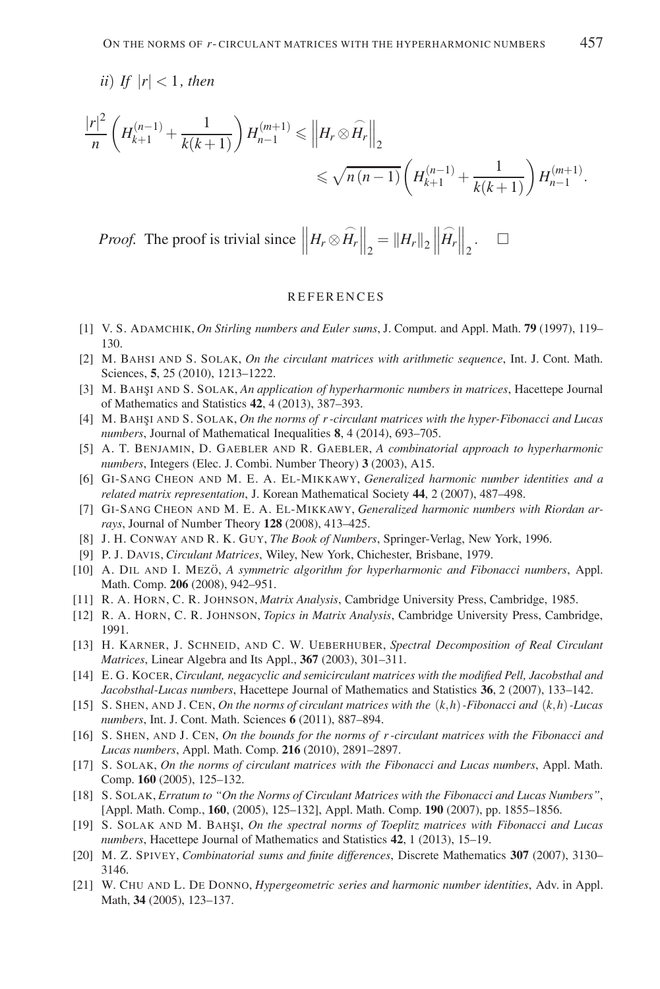*ii*) *If*  $|r| < 1$ *, then* 

$$
\frac{|r|^2}{n} \left( H_{k+1}^{(n-1)} + \frac{1}{k(k+1)} \right) H_{n-1}^{(m+1)} \leqslant \left\| H_r \otimes \widehat{H}_r \right\|_2
$$
  
\$\leqslant \sqrt{n(n-1)} \left( H\_{k+1}^{(n-1)} + \frac{1}{k(k+1)} \right) H\_{n-1}^{(m+1)}\$.

*Proof.* The proof is trivial since  $\left\| H_r \otimes \widehat{H}_r \right\|_2 = \| H_r \|_2 \left\|$  $\widehat{H_r}\Big\|_2.$   $\square$ 

#### **REFERENCES**

- [1] V. S. ADAMCHIK, *On Stirling numbers and Euler sums*, J. Comput. and Appl. Math. **79** (1997), 119– 130.
- [2] M. BAHSI AND S. SOLAK, *On the circulant matrices with arithmetic sequence*, Int. J. Cont. Math. Sciences, **5**, 25 (2010), 1213–1222.
- [3] M. BAHSI AND S. SOLAK, *An application of hyperharmonic numbers in matrices*, Hacettepe Journal of Mathematics and Statistics **42**, 4 (2013), 387–393.
- [4] M. BAHSI AND S. SOLAK, *On the norms of r-circulant matrices with the hyper-Fibonacci and Lucas numbers*, Journal of Mathematical Inequalities **8**, 4 (2014), 693–705.
- [5] A. T. BENJAMIN, D. GAEBLER AND R. GAEBLER, *A combinatorial approach to hyperharmonic numbers*, Integers (Elec. J. Combi. Number Theory) **3** (2003), A15.
- [6] GI-SANG CHEON AND M. E. A. EL-MIKKAWY, *Generalized harmonic number identities and a related matrix representation*, J. Korean Mathematical Society **44**, 2 (2007), 487–498.
- [7] GI-SANG CHEON AND M. E. A. EL-MIKKAWY, *Generalized harmonic numbers with Riordan arrays*, Journal of Number Theory **128** (2008), 413–425.
- [8] J. H. CONWAY AND R. K. GUY, *The Book of Numbers*, Springer-Verlag, New York, 1996.
- [9] P. J. DAVIS, *Circulant Matrices*, Wiley, New York, Chichester, Brisbane, 1979.
- [10] A. DIL AND I. MEZO, *A symmetric algorithm for hyperharmonic and Fibonacci numbers*, Appl. Math. Comp. **206** (2008), 942–951.
- [11] R. A. HORN, C. R. JOHNSON, *Matrix Analysis*, Cambridge University Press, Cambridge, 1985.
- [12] R. A. HORN, C. R. JOHNSON, *Topics in Matrix Analysis*, Cambridge University Press, Cambridge, 1991.
- [13] H. KARNER, J. SCHNEID, AND C. W. UEBERHUBER, *Spectral Decomposition of Real Circulant Matrices*, Linear Algebra and Its Appl., **367** (2003), 301–311.
- [14] E. G. KOCER, *Circulant, negacyclic and semicirculant matrices with the modified Pell, Jacobsthal and Jacobsthal-Lucas numbers*, Hacettepe Journal of Mathematics and Statistics **36**, 2 (2007), 133–142.
- [15] S. SHEN, AND J. CEN, *On the norms of circulant matrices with the* (*k*,*h*)*-Fibonacci and* (*k*,*h*)*-Lucas numbers*, Int. J. Cont. Math. Sciences **6** (2011), 887–894.
- [16] S. SHEN, AND J. CEN, *On the bounds for the norms of r -circulant matrices with the Fibonacci and Lucas numbers*, Appl. Math. Comp. **216** (2010), 2891–2897.
- [17] S. SOLAK, *On the norms of circulant matrices with the Fibonacci and Lucas numbers*, Appl. Math. Comp. **160** (2005), 125–132.
- [18] S. SOLAK, *Erratum to "On the Norms of Circulant Matrices with the Fibonacci and Lucas Numbers"*, [Appl. Math. Comp., **160**, (2005), 125–132], Appl. Math. Comp. **190** (2007), pp. 1855–1856.
- [19] S. SOLAK AND M. BAHŞI, *On the spectral norms of Toeplitz matrices with Fibonacci and Lucas numbers*, Hacettepe Journal of Mathematics and Statistics **42**, 1 (2013), 15–19.
- [20] M. Z. SPIVEY, *Combinatorial sums and finite differences*, Discrete Mathematics **307** (2007), 3130– 3146.
- [21] W. CHU AND L. DE DONNO, *Hypergeometric series and harmonic number identities*, Adv. in Appl. Math, **34** (2005), 123–137.